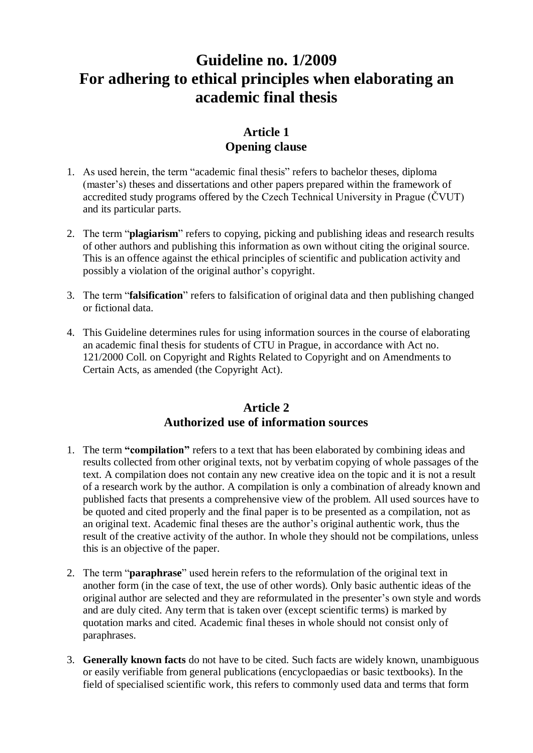# **Guideline no. 1/2009 For adhering to ethical principles when elaborating an academic final thesis**

# **Article 1 Opening clause**

- 1. As used herein, the term "academic final thesis" refers to bachelor theses, diploma (master's) theses and dissertations and other papers prepared within the framework of accredited study programs offered by the Czech Technical University in Prague (ČVUT) and its particular parts.
- 2. The term "**plagiarism**" refers to copying, picking and publishing ideas and research results of other authors and publishing this information as own without citing the original source. This is an offence against the ethical principles of scientific and publication activity and possibly a violation of the original author's copyright.
- 3. The term "**falsification**" refers to falsification of original data and then publishing changed or fictional data.
- 4. This Guideline determines rules for using information sources in the course of elaborating an academic final thesis for students of CTU in Prague, in accordance with Act no. 121/2000 Coll. on Copyright and Rights Related to Copyright and on Amendments to Certain Acts, as amended (the Copyright Act).

## **Article 2 Authorized use of information sources**

- 1. The term **"compilation"** refers to a text that has been elaborated by combining ideas and results collected from other original texts, not by verbatim copying of whole passages of the text. A compilation does not contain any new creative idea on the topic and it is not a result of a research work by the author. A compilation is only a combination of already known and published facts that presents a comprehensive view of the problem. All used sources have to be quoted and cited properly and the final paper is to be presented as a compilation, not as an original text. Academic final theses are the author's original authentic work, thus the result of the creative activity of the author. In whole they should not be compilations, unless this is an objective of the paper.
- 2. The term "**paraphrase**" used herein refers to the reformulation of the original text in another form (in the case of text, the use of other words). Only basic authentic ideas of the original author are selected and they are reformulated in the presenter's own style and words and are duly cited. Any term that is taken over (except scientific terms) is marked by quotation marks and cited. Academic final theses in whole should not consist only of paraphrases.
- 3. **Generally known facts** do not have to be cited. Such facts are widely known, unambiguous or easily verifiable from general publications (encyclopaedias or basic textbooks). In the field of specialised scientific work, this refers to commonly used data and terms that form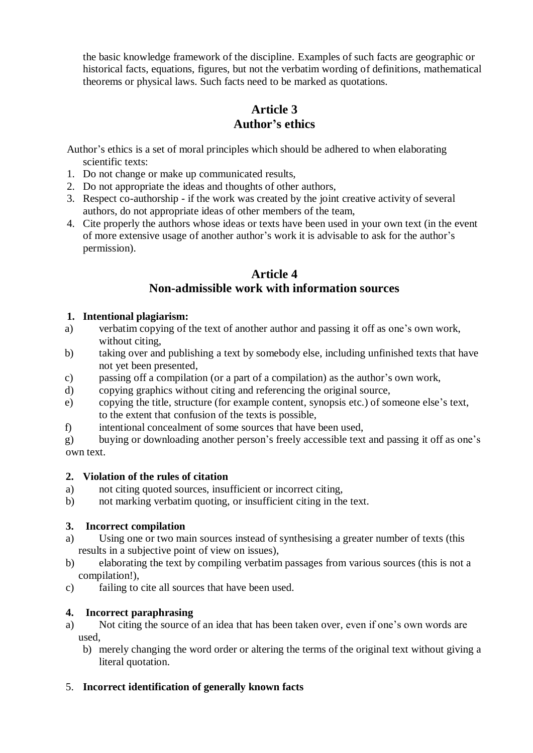the basic knowledge framework of the discipline. Examples of such facts are geographic or historical facts, equations, figures, but not the verbatim wording of definitions, mathematical theorems or physical laws. Such facts need to be marked as quotations.

# **Article 3 Author's ethics**

Author's ethics is a set of moral principles which should be adhered to when elaborating scientific texts:

- 1. Do not change or make up communicated results,
- 2. Do not appropriate the ideas and thoughts of other authors,
- 3. Respect co-authorship if the work was created by the joint creative activity of several authors, do not appropriate ideas of other members of the team,
- 4. Cite properly the authors whose ideas or texts have been used in your own text (in the event of more extensive usage of another author's work it is advisable to ask for the author's permission).

## **Article 4 Non-admissible work with information sources**

#### **1. Intentional plagiarism:**

- a) verbatim copying of the text of another author and passing it off as one's own work, without citing,
- b) taking over and publishing a text by somebody else, including unfinished texts that have not yet been presented,
- c) passing off a compilation (or a part of a compilation) as the author's own work,
- d) copying graphics without citing and referencing the original source,
- e) copying the title, structure (for example content, synopsis etc.) of someone else's text, to the extent that confusion of the texts is possible,
- f) intentional concealment of some sources that have been used,
- g) buying or downloading another person's freely accessible text and passing it off as one's own text.

#### **2. Violation of the rules of citation**

- a) not citing quoted sources, insufficient or incorrect citing,
- b) not marking verbatim quoting, or insufficient citing in the text.

## **3. Incorrect compilation**

- a) Using one or two main sources instead of synthesising a greater number of texts (this results in a subjective point of view on issues),
- b) elaborating the text by compiling verbatim passages from various sources (this is not a compilation!),
- c) failing to cite all sources that have been used.

## **4. Incorrect paraphrasing**

- a) Not citing the source of an idea that has been taken over, even if one's own words are used,
	- b) merely changing the word order or altering the terms of the original text without giving a literal quotation.

## 5. **Incorrect identification of generally known facts**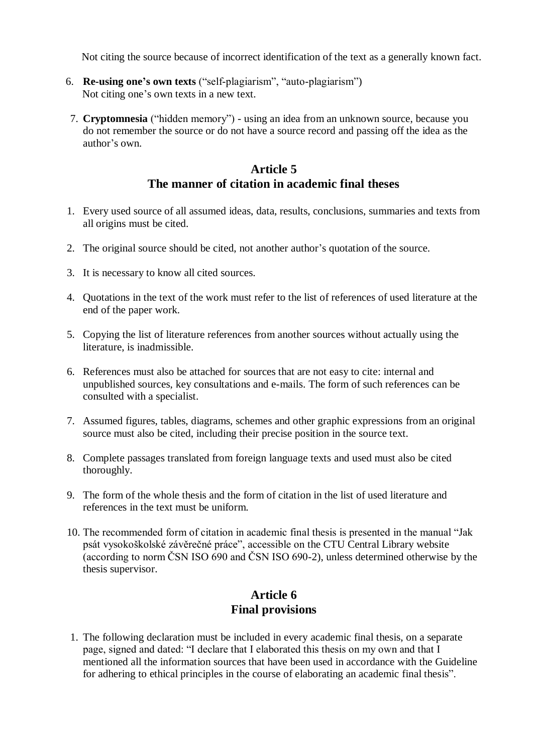Not citing the source because of incorrect identification of the text as a generally known fact.

- 6. **Re-using one's own texts** ("self-plagiarism", "auto-plagiarism") Not citing one's own texts in a new text.
- 7. **Cryptomnesia** ("hidden memory") using an idea from an unknown source, because you do not remember the source or do not have a source record and passing off the idea as the author's own.

## **Article 5 The manner of citation in academic final theses**

- 1. Every used source of all assumed ideas, data, results, conclusions, summaries and texts from all origins must be cited.
- 2. The original source should be cited, not another author's quotation of the source.
- 3. It is necessary to know all cited sources.
- 4. Quotations in the text of the work must refer to the list of references of used literature at the end of the paper work.
- 5. Copying the list of literature references from another sources without actually using the literature, is inadmissible.
- 6. References must also be attached for sources that are not easy to cite: internal and unpublished sources, key consultations and e-mails. The form of such references can be consulted with a specialist.
- 7. Assumed figures, tables, diagrams, schemes and other graphic expressions from an original source must also be cited, including their precise position in the source text.
- 8. Complete passages translated from foreign language texts and used must also be cited thoroughly.
- 9. The form of the whole thesis and the form of citation in the list of used literature and references in the text must be uniform.
- 10. The recommended form of citation in academic final thesis is presented in the manual "Jak psát vysokoškolské závěrečné práce", accessible on the CTU Central Library website (according to norm ČSN ISO 690 and ČSN ISO 690-2), unless determined otherwise by the thesis supervisor.

## **Article 6 Final provisions**

1. The following declaration must be included in every academic final thesis, on a separate page, signed and dated: "I declare that I elaborated this thesis on my own and that I mentioned all the information sources that have been used in accordance with the Guideline for adhering to ethical principles in the course of elaborating an academic final thesis".